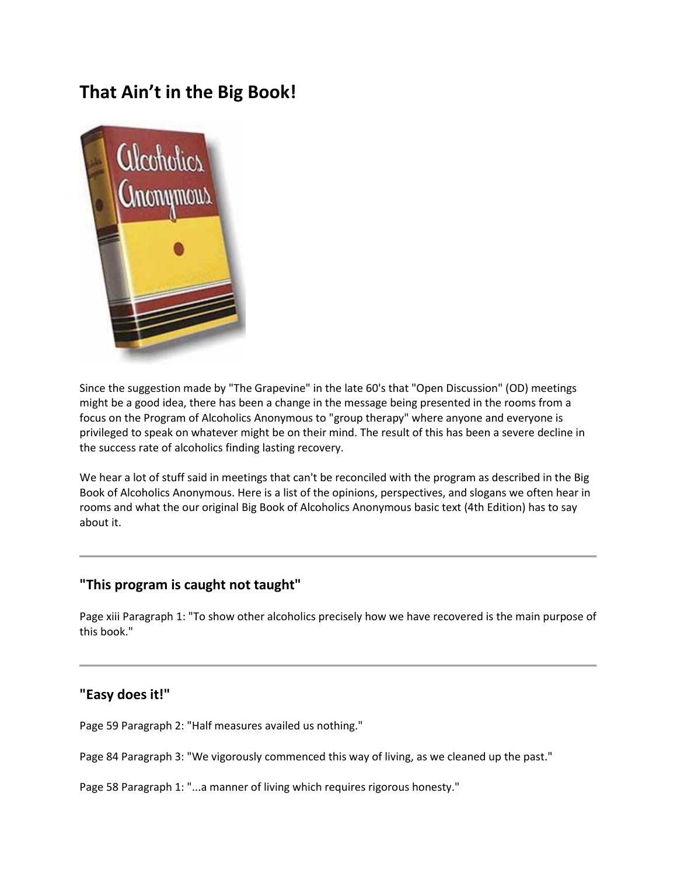# **That Ain't in the Big Book!**



Since the suggestion made by "The Grapevine" in the late 60's that "Open Discussion" (OD) meetings might be a good idea, there has been a change in the message being presented in the rooms from a focus on the Program of Alcoholics Anonymous to "group therapy" where anyone and everyone is privileged to speak on whatever might be on their mind. The result of this has been a severe decline in the success rate of alcoholics finding lasting recovery.

We hear a lot of stuff said in meetings that can't be reconciled with the program as described in the Big Book of Alcoholics Anonymous. Here is a list of the opinions, perspectives, and slogans we often hear in rooms and what the our original Big Book of Alcoholics Anonymous basic text (4th Edition) has to say about it.

# **"This program is caught not taught"**

Page xiii Paragraph 1: "To show other alcoholics precisely how we have recovered is the main purpose of this book."

# **"Easy does it!"**

Page 59 Paragraph 2: "Half measures availed us nothing."

Page 84 Paragraph 3: "We vigorously commenced this way of living, as we cleaned up the past."

Page 58 Paragraph 1: "...a manner of living which requires rigorous honesty."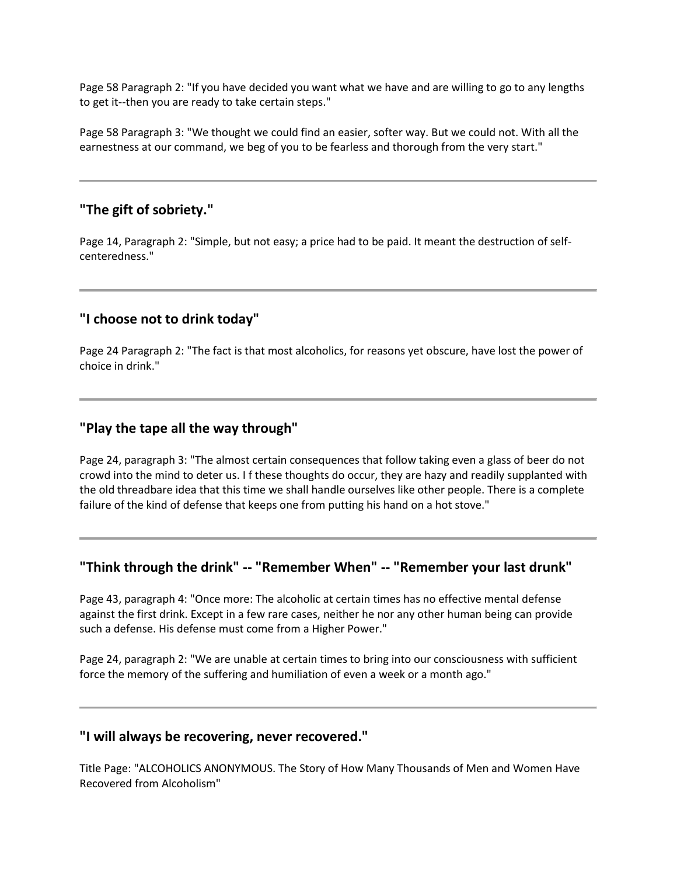Page 58 Paragraph 2: "If you have decided you want what we have and are willing to go to any lengths to get it--then you are ready to take certain steps."

Page 58 Paragraph 3: "We thought we could find an easier, softer way. But we could not. With all the earnestness at our command, we beg of you to be fearless and thorough from the very start."

#### **"The gift of sobriety."**

Page 14, Paragraph 2: "Simple, but not easy; a price had to be paid. It meant the destruction of selfcenteredness."

# **"I choose not to drink today"**

Page 24 Paragraph 2: "The fact is that most alcoholics, for reasons yet obscure, have lost the power of choice in drink."

#### **"Play the tape all the way through"**

Page 24, paragraph 3: "The almost certain consequences that follow taking even a glass of beer do not crowd into the mind to deter us. I f these thoughts do occur, they are hazy and readily supplanted with the old threadbare idea that this time we shall handle ourselves like other people. There is a complete failure of the kind of defense that keeps one from putting his hand on a hot stove."

# **"Think through the drink" -- "Remember When" -- "Remember your last drunk"**

Page 43, paragraph 4: "Once more: The alcoholic at certain times has no effective mental defense against the first drink. Except in a few rare cases, neither he nor any other human being can provide such a defense. His defense must come from a Higher Power."

Page 24, paragraph 2: "We are unable at certain times to bring into our consciousness with sufficient force the memory of the suffering and humiliation of even a week or a month ago."

#### **"I will always be recovering, never recovered."**

Title Page: "ALCOHOLICS ANONYMOUS. The Story of How Many Thousands of Men and Women Have Recovered from Alcoholism"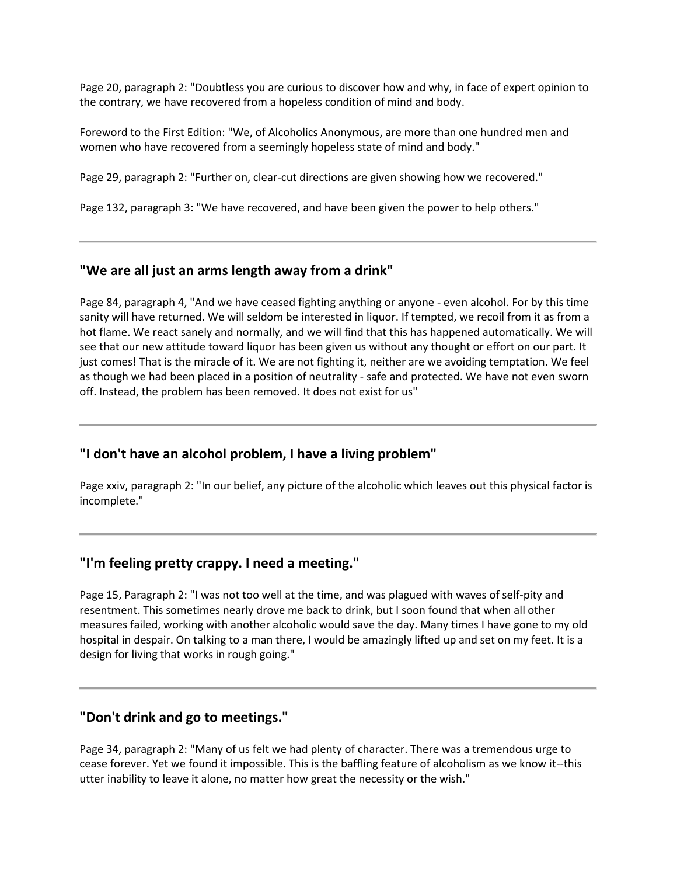Page 20, paragraph 2: "Doubtless you are curious to discover how and why, in face of expert opinion to the contrary, we have recovered from a hopeless condition of mind and body.

Foreword to the First Edition: "We, of Alcoholics Anonymous, are more than one hundred men and women who have recovered from a seemingly hopeless state of mind and body."

Page 29, paragraph 2: "Further on, clear-cut directions are given showing how we recovered."

Page 132, paragraph 3: "We have recovered, and have been given the power to help others."

# **"We are all just an arms length away from a drink"**

Page 84, paragraph 4, "And we have ceased fighting anything or anyone - even alcohol. For by this time sanity will have returned. We will seldom be interested in liquor. If tempted, we recoil from it as from a hot flame. We react sanely and normally, and we will find that this has happened automatically. We will see that our new attitude toward liquor has been given us without any thought or effort on our part. It just comes! That is the miracle of it. We are not fighting it, neither are we avoiding temptation. We feel as though we had been placed in a position of neutrality - safe and protected. We have not even sworn off. Instead, the problem has been removed. It does not exist for us"

### **"I don't have an alcohol problem, I have a living problem"**

Page xxiv, paragraph 2: "In our belief, any picture of the alcoholic which leaves out this physical factor is incomplete."

# **"I'm feeling pretty crappy. I need a meeting."**

Page 15, Paragraph 2: "I was not too well at the time, and was plagued with waves of self-pity and resentment. This sometimes nearly drove me back to drink, but I soon found that when all other measures failed, working with another alcoholic would save the day. Many times I have gone to my old hospital in despair. On talking to a man there, I would be amazingly lifted up and set on my feet. It is a design for living that works in rough going."

#### **"Don't drink and go to meetings."**

Page 34, paragraph 2: "Many of us felt we had plenty of character. There was a tremendous urge to cease forever. Yet we found it impossible. This is the baffling feature of alcoholism as we know it--this utter inability to leave it alone, no matter how great the necessity or the wish."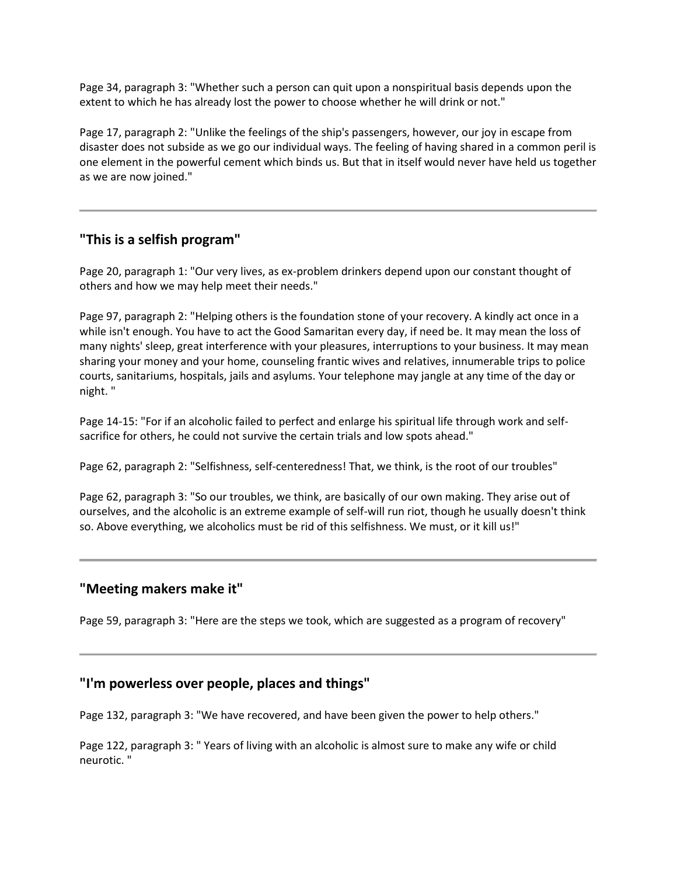Page 34, paragraph 3: "Whether such a person can quit upon a nonspiritual basis depends upon the extent to which he has already lost the power to choose whether he will drink or not."

Page 17, paragraph 2: "Unlike the feelings of the ship's passengers, however, our joy in escape from disaster does not subside as we go our individual ways. The feeling of having shared in a common peril is one element in the powerful cement which binds us. But that in itself would never have held us together as we are now joined."

# **"This is a selfish program"**

Page 20, paragraph 1: "Our very lives, as ex-problem drinkers depend upon our constant thought of others and how we may help meet their needs."

Page 97, paragraph 2: "Helping others is the foundation stone of your recovery. A kindly act once in a while isn't enough. You have to act the Good Samaritan every day, if need be. It may mean the loss of many nights' sleep, great interference with your pleasures, interruptions to your business. It may mean sharing your money and your home, counseling frantic wives and relatives, innumerable trips to police courts, sanitariums, hospitals, jails and asylums. Your telephone may jangle at any time of the day or night. "

Page 14-15: "For if an alcoholic failed to perfect and enlarge his spiritual life through work and selfsacrifice for others, he could not survive the certain trials and low spots ahead."

Page 62, paragraph 2: "Selfishness, self-centeredness! That, we think, is the root of our troubles"

Page 62, paragraph 3: "So our troubles, we think, are basically of our own making. They arise out of ourselves, and the alcoholic is an extreme example of self-will run riot, though he usually doesn't think so. Above everything, we alcoholics must be rid of this selfishness. We must, or it kill us!"

### **"Meeting makers make it"**

Page 59, paragraph 3: "Here are the steps we took, which are suggested as a program of recovery"

# **"I'm powerless over people, places and things"**

Page 132, paragraph 3: "We have recovered, and have been given the power to help others."

Page 122, paragraph 3: " Years of living with an alcoholic is almost sure to make any wife or child neurotic. "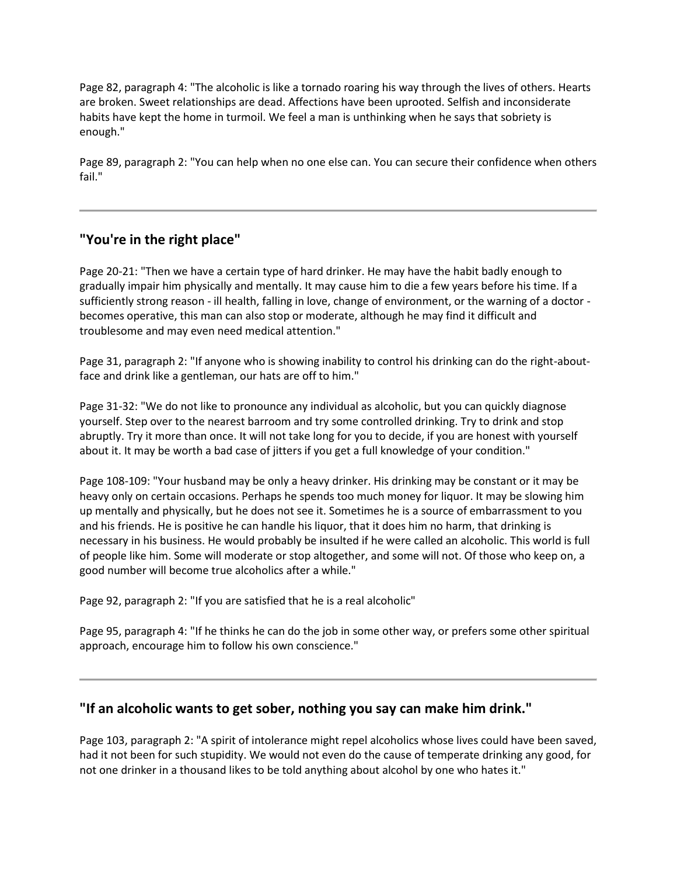Page 82, paragraph 4: "The alcoholic is like a tornado roaring his way through the lives of others. Hearts are broken. Sweet relationships are dead. Affections have been uprooted. Selfish and inconsiderate habits have kept the home in turmoil. We feel a man is unthinking when he says that sobriety is enough."

Page 89, paragraph 2: "You can help when no one else can. You can secure their confidence when others fail."

# **"You're in the right place"**

Page 20-21: "Then we have a certain type of hard drinker. He may have the habit badly enough to gradually impair him physically and mentally. It may cause him to die a few years before his time. If a sufficiently strong reason - ill health, falling in love, change of environment, or the warning of a doctor becomes operative, this man can also stop or moderate, although he may find it difficult and troublesome and may even need medical attention."

Page 31, paragraph 2: "If anyone who is showing inability to control his drinking can do the right-aboutface and drink like a gentleman, our hats are off to him."

Page 31-32: "We do not like to pronounce any individual as alcoholic, but you can quickly diagnose yourself. Step over to the nearest barroom and try some controlled drinking. Try to drink and stop abruptly. Try it more than once. It will not take long for you to decide, if you are honest with yourself about it. It may be worth a bad case of jitters if you get a full knowledge of your condition."

Page 108-109: "Your husband may be only a heavy drinker. His drinking may be constant or it may be heavy only on certain occasions. Perhaps he spends too much money for liquor. It may be slowing him up mentally and physically, but he does not see it. Sometimes he is a source of embarrassment to you and his friends. He is positive he can handle his liquor, that it does him no harm, that drinking is necessary in his business. He would probably be insulted if he were called an alcoholic. This world is full of people like him. Some will moderate or stop altogether, and some will not. Of those who keep on, a good number will become true alcoholics after a while."

Page 92, paragraph 2: "If you are satisfied that he is a real alcoholic"

Page 95, paragraph 4: "If he thinks he can do the job in some other way, or prefers some other spiritual approach, encourage him to follow his own conscience."

### **"If an alcoholic wants to get sober, nothing you say can make him drink."**

Page 103, paragraph 2: "A spirit of intolerance might repel alcoholics whose lives could have been saved, had it not been for such stupidity. We would not even do the cause of temperate drinking any good, for not one drinker in a thousand likes to be told anything about alcohol by one who hates it."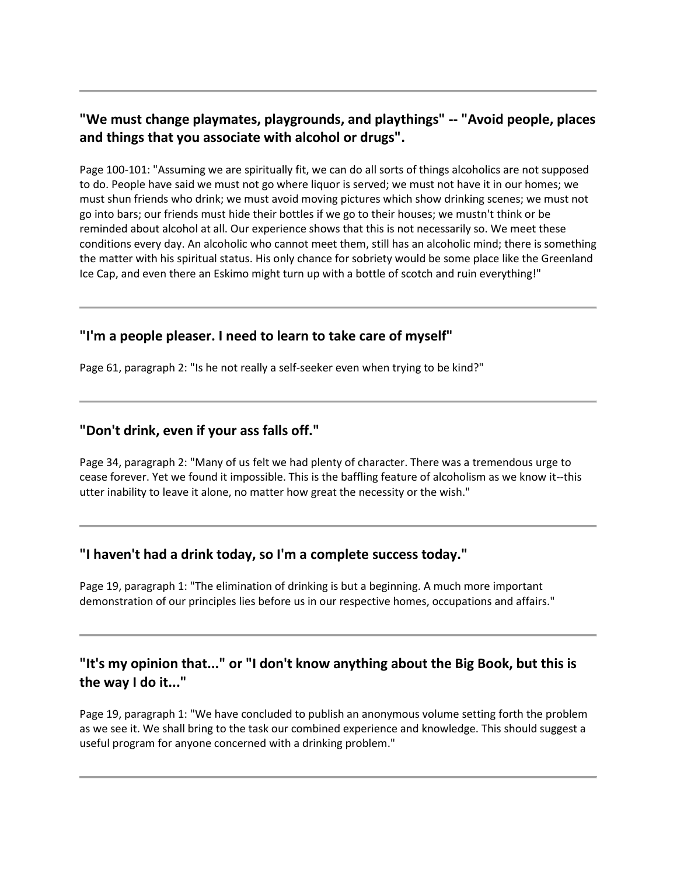# **"We must change playmates, playgrounds, and playthings" -- "Avoid people, places and things that you associate with alcohol or drugs".**

Page 100-101: "Assuming we are spiritually fit, we can do all sorts of things alcoholics are not supposed to do. People have said we must not go where liquor is served; we must not have it in our homes; we must shun friends who drink; we must avoid moving pictures which show drinking scenes; we must not go into bars; our friends must hide their bottles if we go to their houses; we mustn't think or be reminded about alcohol at all. Our experience shows that this is not necessarily so. We meet these conditions every day. An alcoholic who cannot meet them, still has an alcoholic mind; there is something the matter with his spiritual status. His only chance for sobriety would be some place like the Greenland Ice Cap, and even there an Eskimo might turn up with a bottle of scotch and ruin everything!"

# **"I'm a people pleaser. I need to learn to take care of myself"**

Page 61, paragraph 2: "Is he not really a self-seeker even when trying to be kind?"

# **"Don't drink, even if your ass falls off."**

Page 34, paragraph 2: "Many of us felt we had plenty of character. There was a tremendous urge to cease forever. Yet we found it impossible. This is the baffling feature of alcoholism as we know it--this utter inability to leave it alone, no matter how great the necessity or the wish."

# **"I haven't had a drink today, so I'm a complete success today."**

Page 19, paragraph 1: "The elimination of drinking is but a beginning. A much more important demonstration of our principles lies before us in our respective homes, occupations and affairs."

# **"It's my opinion that..." or "I don't know anything about the Big Book, but this is the way I do it..."**

Page 19, paragraph 1: "We have concluded to publish an anonymous volume setting forth the problem as we see it. We shall bring to the task our combined experience and knowledge. This should suggest a useful program for anyone concerned with a drinking problem."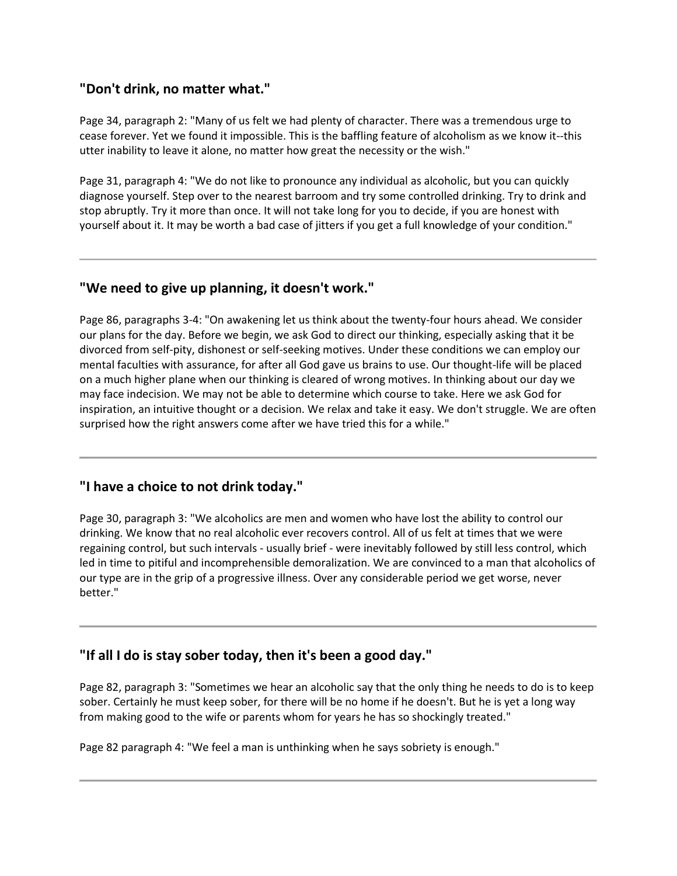#### **"Don't drink, no matter what."**

Page 34, paragraph 2: "Many of us felt we had plenty of character. There was a tremendous urge to cease forever. Yet we found it impossible. This is the baffling feature of alcoholism as we know it--this utter inability to leave it alone, no matter how great the necessity or the wish."

Page 31, paragraph 4: "We do not like to pronounce any individual as alcoholic, but you can quickly diagnose yourself. Step over to the nearest barroom and try some controlled drinking. Try to drink and stop abruptly. Try it more than once. It will not take long for you to decide, if you are honest with yourself about it. It may be worth a bad case of jitters if you get a full knowledge of your condition."

#### **"We need to give up planning, it doesn't work."**

Page 86, paragraphs 3-4: "On awakening let us think about the twenty-four hours ahead. We consider our plans for the day. Before we begin, we ask God to direct our thinking, especially asking that it be divorced from self-pity, dishonest or self-seeking motives. Under these conditions we can employ our mental faculties with assurance, for after all God gave us brains to use. Our thought-life will be placed on a much higher plane when our thinking is cleared of wrong motives. In thinking about our day we may face indecision. We may not be able to determine which course to take. Here we ask God for inspiration, an intuitive thought or a decision. We relax and take it easy. We don't struggle. We are often surprised how the right answers come after we have tried this for a while."

### **"I have a choice to not drink today."**

Page 30, paragraph 3: "We alcoholics are men and women who have lost the ability to control our drinking. We know that no real alcoholic ever recovers control. All of us felt at times that we were regaining control, but such intervals - usually brief - were inevitably followed by still less control, which led in time to pitiful and incomprehensible demoralization. We are convinced to a man that alcoholics of our type are in the grip of a progressive illness. Over any considerable period we get worse, never better."

### **"If all I do is stay sober today, then it's been a good day."**

Page 82, paragraph 3: "Sometimes we hear an alcoholic say that the only thing he needs to do is to keep sober. Certainly he must keep sober, for there will be no home if he doesn't. But he is yet a long way from making good to the wife or parents whom for years he has so shockingly treated."

Page 82 paragraph 4: "We feel a man is unthinking when he says sobriety is enough."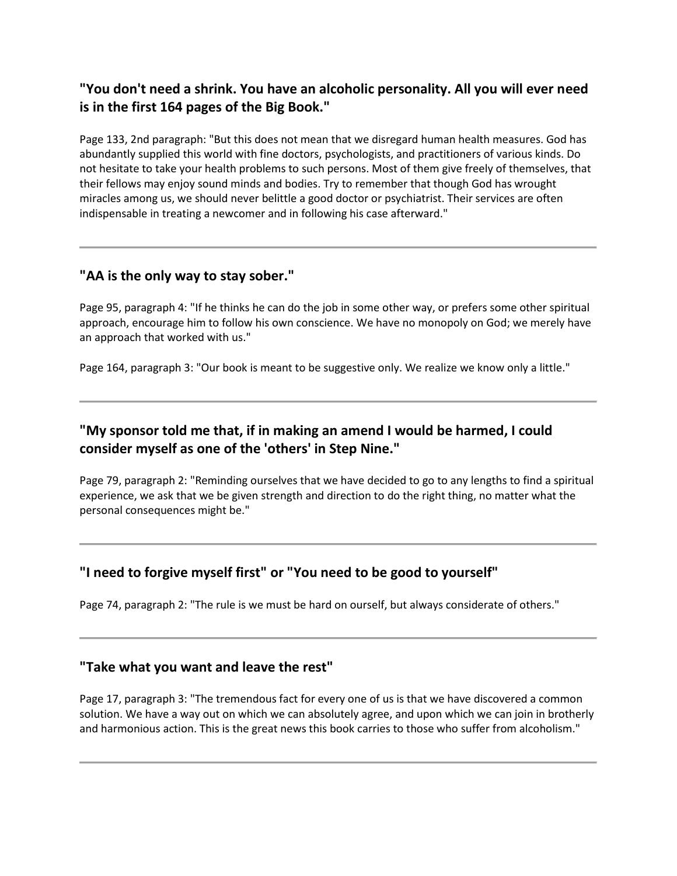# **"You don't need a shrink. You have an alcoholic personality. All you will ever need is in the first 164 pages of the Big Book."**

Page 133, 2nd paragraph: "But this does not mean that we disregard human health measures. God has abundantly supplied this world with fine doctors, psychologists, and practitioners of various kinds. Do not hesitate to take your health problems to such persons. Most of them give freely of themselves, that their fellows may enjoy sound minds and bodies. Try to remember that though God has wrought miracles among us, we should never belittle a good doctor or psychiatrist. Their services are often indispensable in treating a newcomer and in following his case afterward."

# **"AA is the only way to stay sober."**

Page 95, paragraph 4: "If he thinks he can do the job in some other way, or prefers some other spiritual approach, encourage him to follow his own conscience. We have no monopoly on God; we merely have an approach that worked with us."

Page 164, paragraph 3: "Our book is meant to be suggestive only. We realize we know only a little."

# **"My sponsor told me that, if in making an amend I would be harmed, I could consider myself as one of the 'others' in Step Nine."**

Page 79, paragraph 2: "Reminding ourselves that we have decided to go to any lengths to find a spiritual experience, we ask that we be given strength and direction to do the right thing, no matter what the personal consequences might be."

# **"I need to forgive myself first" or "You need to be good to yourself"**

Page 74, paragraph 2: "The rule is we must be hard on ourself, but always considerate of others."

### **"Take what you want and leave the rest"**

Page 17, paragraph 3: "The tremendous fact for every one of us is that we have discovered a common solution. We have a way out on which we can absolutely agree, and upon which we can join in brotherly and harmonious action. This is the great news this book carries to those who suffer from alcoholism."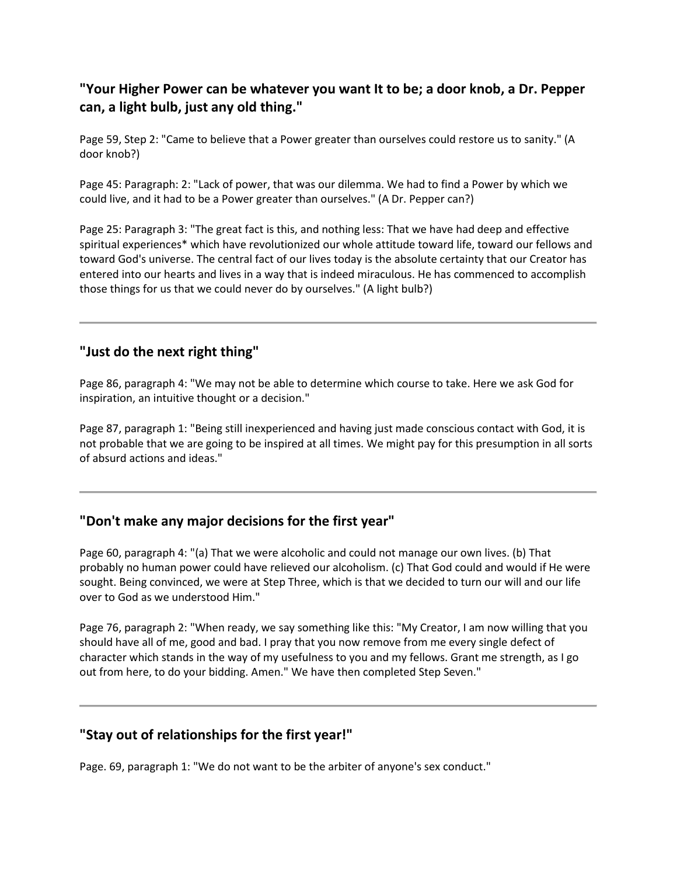# **"Your Higher Power can be whatever you want It to be; a door knob, a Dr. Pepper can, a light bulb, just any old thing."**

Page 59, Step 2: "Came to believe that a Power greater than ourselves could restore us to sanity." (A door knob?)

Page 45: Paragraph: 2: "Lack of power, that was our dilemma. We had to find a Power by which we could live, and it had to be a Power greater than ourselves." (A Dr. Pepper can?)

Page 25: Paragraph 3: "The great fact is this, and nothing less: That we have had deep and effective spiritual experiences\* which have revolutionized our whole attitude toward life, toward our fellows and toward God's universe. The central fact of our lives today is the absolute certainty that our Creator has entered into our hearts and lives in a way that is indeed miraculous. He has commenced to accomplish those things for us that we could never do by ourselves." (A light bulb?)

### **"Just do the next right thing"**

Page 86, paragraph 4: "We may not be able to determine which course to take. Here we ask God for inspiration, an intuitive thought or a decision."

Page 87, paragraph 1: "Being still inexperienced and having just made conscious contact with God, it is not probable that we are going to be inspired at all times. We might pay for this presumption in all sorts of absurd actions and ideas."

### **"Don't make any major decisions for the first year"**

Page 60, paragraph 4: "(a) That we were alcoholic and could not manage our own lives. (b) That probably no human power could have relieved our alcoholism. (c) That God could and would if He were sought. Being convinced, we were at Step Three, which is that we decided to turn our will and our life over to God as we understood Him."

Page 76, paragraph 2: "When ready, we say something like this: "My Creator, I am now willing that you should have all of me, good and bad. I pray that you now remove from me every single defect of character which stands in the way of my usefulness to you and my fellows. Grant me strength, as I go out from here, to do your bidding. Amen." We have then completed Step Seven."

# **"Stay out of relationships for the first year!"**

Page. 69, paragraph 1: "We do not want to be the arbiter of anyone's sex conduct."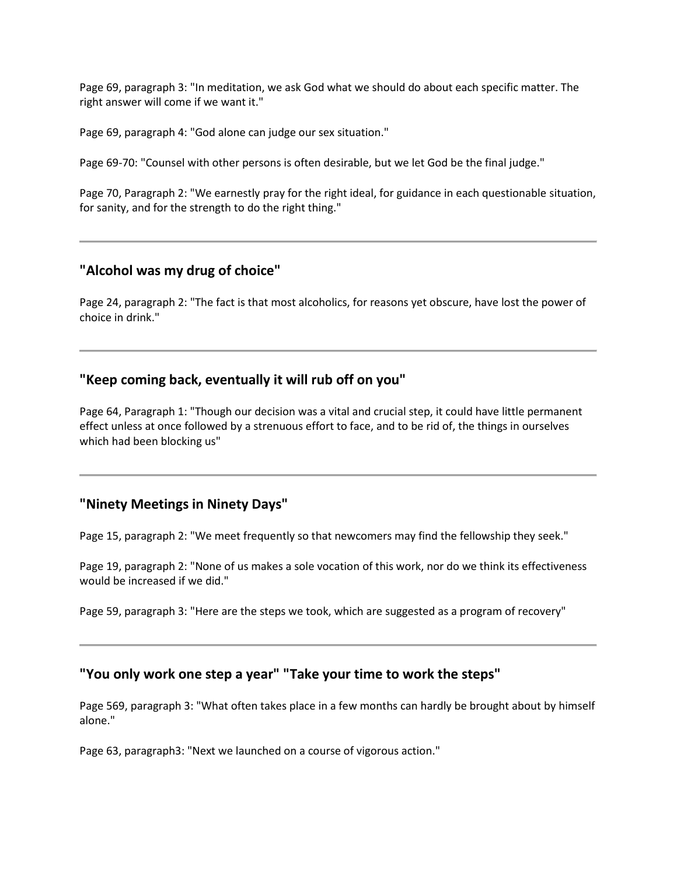Page 69, paragraph 3: "In meditation, we ask God what we should do about each specific matter. The right answer will come if we want it."

Page 69, paragraph 4: "God alone can judge our sex situation."

Page 69-70: "Counsel with other persons is often desirable, but we let God be the final judge."

Page 70, Paragraph 2: "We earnestly pray for the right ideal, for guidance in each questionable situation, for sanity, and for the strength to do the right thing."

# **"Alcohol was my drug of choice"**

Page 24, paragraph 2: "The fact is that most alcoholics, for reasons yet obscure, have lost the power of choice in drink."

# **"Keep coming back, eventually it will rub off on you"**

Page 64, Paragraph 1: "Though our decision was a vital and crucial step, it could have little permanent effect unless at once followed by a strenuous effort to face, and to be rid of, the things in ourselves which had been blocking us"

### **"Ninety Meetings in Ninety Days"**

Page 15, paragraph 2: "We meet frequently so that newcomers may find the fellowship they seek."

Page 19, paragraph 2: "None of us makes a sole vocation of this work, nor do we think its effectiveness would be increased if we did."

Page 59, paragraph 3: "Here are the steps we took, which are suggested as a program of recovery"

# **"You only work one step a year" "Take your time to work the steps"**

Page 569, paragraph 3: "What often takes place in a few months can hardly be brought about by himself alone."

Page 63, paragraph3: "Next we launched on a course of vigorous action."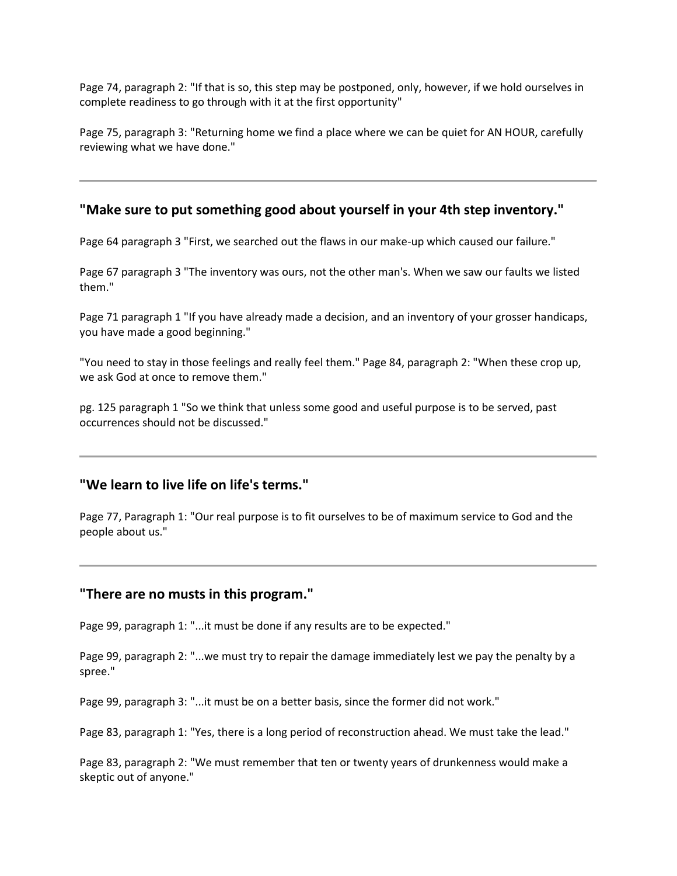Page 74, paragraph 2: "If that is so, this step may be postponed, only, however, if we hold ourselves in complete readiness to go through with it at the first opportunity"

Page 75, paragraph 3: "Returning home we find a place where we can be quiet for AN HOUR, carefully reviewing what we have done."

#### **"Make sure to put something good about yourself in your 4th step inventory."**

Page 64 paragraph 3 "First, we searched out the flaws in our make-up which caused our failure."

Page 67 paragraph 3 "The inventory was ours, not the other man's. When we saw our faults we listed them."

Page 71 paragraph 1 "If you have already made a decision, and an inventory of your grosser handicaps, you have made a good beginning."

"You need to stay in those feelings and really feel them." Page 84, paragraph 2: "When these crop up, we ask God at once to remove them."

pg. 125 paragraph 1 "So we think that unless some good and useful purpose is to be served, past occurrences should not be discussed."

#### **"We learn to live life on life's terms."**

Page 77, Paragraph 1: "Our real purpose is to fit ourselves to be of maximum service to God and the people about us."

#### **"There are no musts in this program."**

Page 99, paragraph 1: "...it must be done if any results are to be expected."

Page 99, paragraph 2: "...we must try to repair the damage immediately lest we pay the penalty by a spree."

Page 99, paragraph 3: "...it must be on a better basis, since the former did not work."

Page 83, paragraph 1: "Yes, there is a long period of reconstruction ahead. We must take the lead."

Page 83, paragraph 2: "We must remember that ten or twenty years of drunkenness would make a skeptic out of anyone."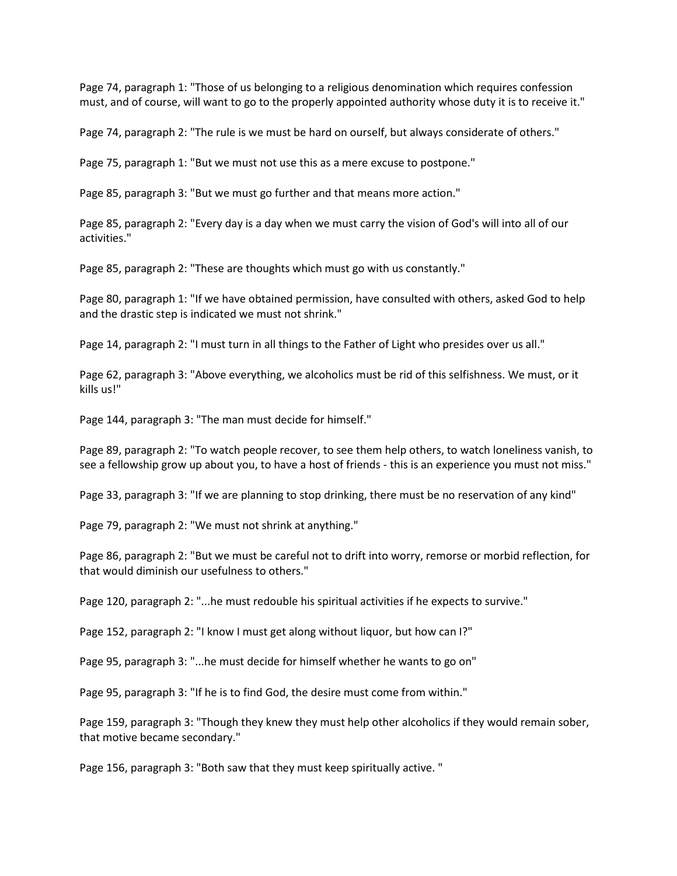Page 74, paragraph 1: "Those of us belonging to a religious denomination which requires confession must, and of course, will want to go to the properly appointed authority whose duty it is to receive it."

Page 74, paragraph 2: "The rule is we must be hard on ourself, but always considerate of others."

Page 75, paragraph 1: "But we must not use this as a mere excuse to postpone."

Page 85, paragraph 3: "But we must go further and that means more action."

Page 85, paragraph 2: "Every day is a day when we must carry the vision of God's will into all of our activities."

Page 85, paragraph 2: "These are thoughts which must go with us constantly."

Page 80, paragraph 1: "If we have obtained permission, have consulted with others, asked God to help and the drastic step is indicated we must not shrink."

Page 14, paragraph 2: "I must turn in all things to the Father of Light who presides over us all."

Page 62, paragraph 3: "Above everything, we alcoholics must be rid of this selfishness. We must, or it kills us!"

Page 144, paragraph 3: "The man must decide for himself."

Page 89, paragraph 2: "To watch people recover, to see them help others, to watch loneliness vanish, to see a fellowship grow up about you, to have a host of friends - this is an experience you must not miss."

Page 33, paragraph 3: "If we are planning to stop drinking, there must be no reservation of any kind"

Page 79, paragraph 2: "We must not shrink at anything."

Page 86, paragraph 2: "But we must be careful not to drift into worry, remorse or morbid reflection, for that would diminish our usefulness to others."

Page 120, paragraph 2: "...he must redouble his spiritual activities if he expects to survive."

Page 152, paragraph 2: "I know I must get along without liquor, but how can I?"

Page 95, paragraph 3: "...he must decide for himself whether he wants to go on"

Page 95, paragraph 3: "If he is to find God, the desire must come from within."

Page 159, paragraph 3: "Though they knew they must help other alcoholics if they would remain sober, that motive became secondary."

Page 156, paragraph 3: "Both saw that they must keep spiritually active. "